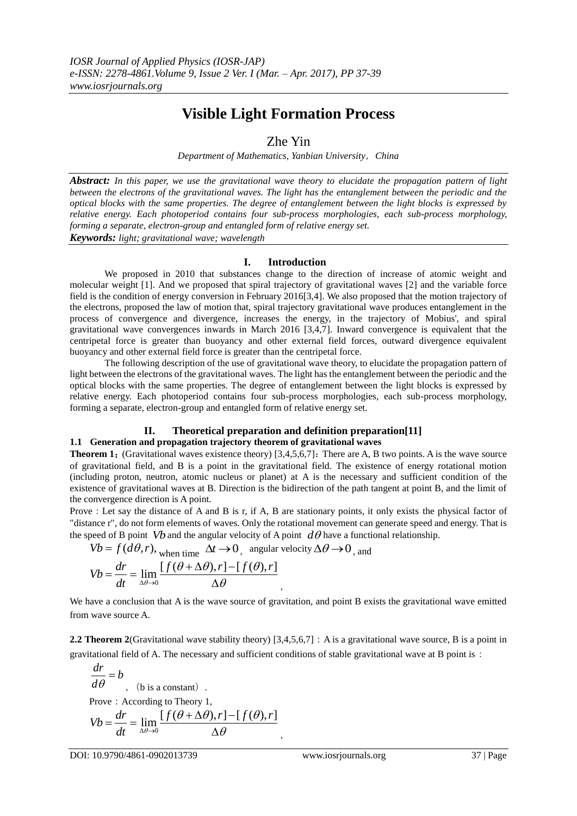# **Visible Light Formation Process**

## Zhe Yin

*Department of Mathematics, Yanbian University*,*China*

*Abstract: In this paper, we use the gravitational wave theory to elucidate the propagation pattern of light between the electrons of the gravitational waves. The light has the entanglement between the periodic and the optical blocks with the same properties. The degree of entanglement between the light blocks is expressed by relative energy. Each photoperiod contains four sub-process morphologies, each sub-process morphology, forming a separate, electron-group and entangled form of relative energy set. Keywords: light; gravitational wave; wavelength*

### **I. Introduction**

We proposed in 2010 that substances change to the direction of increase of atomic weight and molecular weight [1]. And we proposed that spiral trajectory of gravitational waves [2] and the variable force field is the condition of energy conversion in February 2016[3,4]. We also proposed that the motion trajectory of the electrons, proposed the law of motion that, spiral trajectory gravitational wave produces entanglement in the process of convergence and divergence, increases the energy, in the trajectory of Mobius', and spiral gravitational wave convergences inwards in March 2016 [3,4,7]. Inward convergence is equivalent that the centripetal force is greater than buoyancy and other external field forces, outward divergence equivalent buoyancy and other external field force is greater than the centripetal force.

The following description of the use of gravitational wave theory, to elucidate the propagation pattern of light between the electrons of the gravitational waves. The light has the entanglement between the periodic and the optical blocks with the same properties. The degree of entanglement between the light blocks is expressed by relative energy. Each photoperiod contains four sub-process morphologies, each sub-process morphology, forming a separate, electron-group and entangled form of relative energy set.

## **II. Theoretical preparation and definition preparation[11]**

#### **1.1 Generation and propagation trajectory theorem of gravitational waves**

**Theorem 1**: (Gravitational waves existence theory)  $[3,4,5,6,7]$ : There are A, B two points. A is the wave source of gravitational field, and B is a point in the gravitational field. The existence of energy rotational motion (including proton, neutron, atomic nucleus or planet) at A is the necessary and sufficient condition of the existence of gravitational waves at B. Direction is the bidirection of the path tangent at point B, and the limit of the convergence direction is A point.

Prove: Let say the distance of A and B is r, if A, B are stationary points, it only exists the physical factor of "distance r", do not form elements of waves. Only the rotational movement can generate speed and energy. That is the speed of B point *Vb* and the angular velocity of A point  $d\theta$  have a functional relationship.

$$
Vb = f(d\theta, r),
$$
when time  $\Delta t \rightarrow 0$ , angular velocity  $\Delta \theta \rightarrow 0$ , and

$$
Vb = f(d\theta, r),
$$
when time  $\Delta t \to 0$ , angular ve  

$$
Vb = \frac{dr}{dt} = \lim_{\Delta \theta \to 0} \frac{[f(\theta + \Delta \theta), r] - [f(\theta), r]}{\Delta \theta}
$$

We have a conclusion that A is the wave source of gravitation, and point B exists the gravitational wave emitted from wave source A.

**2.2 Theorem 2**(Gravitational wave stability theory) [3,4,5,6,7]: A is a gravitational wave source, B is a point in gravitational field of A. The necessary and sufficient conditions of stable gravitational wave at B point is:

$$
\frac{dr}{d\theta} = b
$$
\nProve: According to Theory 1,  
\nProve: According to Theory 1,  
\n
$$
Vb = \frac{dr}{dt} = \lim_{\Delta\theta \to 0} \frac{[f(\theta + \Delta\theta), r] - [f(\theta), r]}{\Delta\theta}
$$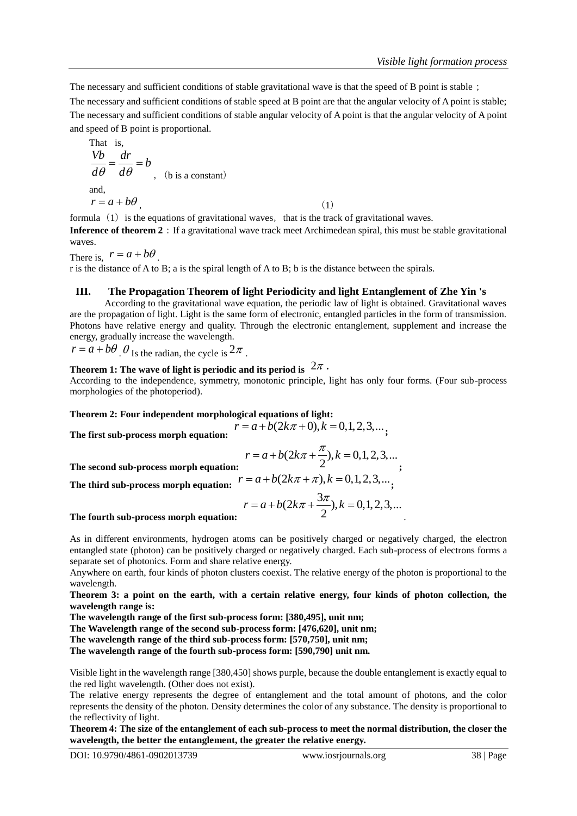The necessary and sufficient conditions of stable gravitational wave is that the speed of B point is stable;

The necessary and sufficient conditions of stable speed at B point are that the angular velocity of A point is stable; The necessary and sufficient conditions of stable angular velocity of A point is that the angular velocity of A point and speed of B point is proportional.

That is,  
\n
$$
\frac{Vb}{d\theta} = \frac{dr}{d\theta} = b
$$
\nand,  
\n
$$
r = a + b\theta
$$
\n(1)

formula  $(1)$  is the equations of gravitational waves, that is the track of gravitational waves.

**Inference of theorem 2**: If a gravitational wave track meet Archimedean spiral, this must be stable gravitational waves.

There is,  $r = a + b\theta$ .

r is the distance of A to B; a is the spiral length of A to B; b is the distance between the spirals.

### **III. The Propagation Theorem of light Periodicity and light Entanglement of Zhe Yin 's**

According to the gravitational wave equation, the periodic law of light is obtained. Gravitational waves are the propagation of light. Light is the same form of electronic, entangled particles in the form of transmission. Photons have relative energy and quality. Through the electronic entanglement, supplement and increase the energy, gradually increase the wavelength.

 $r = a + b\theta$ .  $\theta$  Is the radian, the cycle is  $2\pi$ .

Theorem 1: The wave of light is periodic and its period is  $~^{2\pi}$  .

According to the independence, symmetry, monotonic principle, light has only four forms. (Four sub-process morphologies of the photoperiod).

## **Theorem 2: Four independent morphological equations of light: Theorem 2: Four independent morphological equations of light:**<br> *r* =  $a + b(2k\pi + 0), k = 0, 1, 2, 3, ...$ <br> **The first sub-process morph equation:**

$$
r = a + b(2k\pi + \frac{\pi}{2}), k = 0, 1, 2, 3, \dots
$$

**The second sub-process morph equation:**

$$
r = a + b(2k\pi + \frac{1}{2}), k = 0, 1, 2, 3, ...
$$
  
The second sub-process morph equation:  
The third sub-process morph equation:  $r = a + b(2k\pi + \pi), k = 0, 1, 2, 3, ...$ 

$$
r = a + b(2k\pi + \frac{3\pi}{2}), k = 0, 1, 2, 3, \dots
$$

#### **The fourth sub-process morph equation:**

As in different environments, hydrogen atoms can be positively charged or negatively charged, the electron entangled state (photon) can be positively charged or negatively charged. Each sub-process of electrons forms a separate set of photonics. Form and share relative energy.

Anywhere on earth, four kinds of photon clusters coexist. The relative energy of the photon is proportional to the wavelength.

**Theorem 3: a point on the earth, with a certain relative energy, four kinds of photon collection, the wavelength range is:**

**The wavelength range of the first sub-process form: [380,495], unit nm;**

**The Wavelength range of the second sub-process form: [476,620], unit nm;**

**The wavelength range of the third sub-process form: [570,750], unit nm;**

**The wavelength range of the fourth sub-process form: [590,790] unit nm.**

Visible light in the wavelength range [380,450] shows purple, because the double entanglement is exactly equal to the red light wavelength. (Other does not exist).

The relative energy represents the degree of entanglement and the total amount of photons, and the color represents the density of the photon. Density determines the color of any substance. The density is proportional to the reflectivity of light.

**Theorem 4: The size of the entanglement of each sub-process to meet the normal distribution, the closer the wavelength, the better the entanglement, the greater the relative energy.**